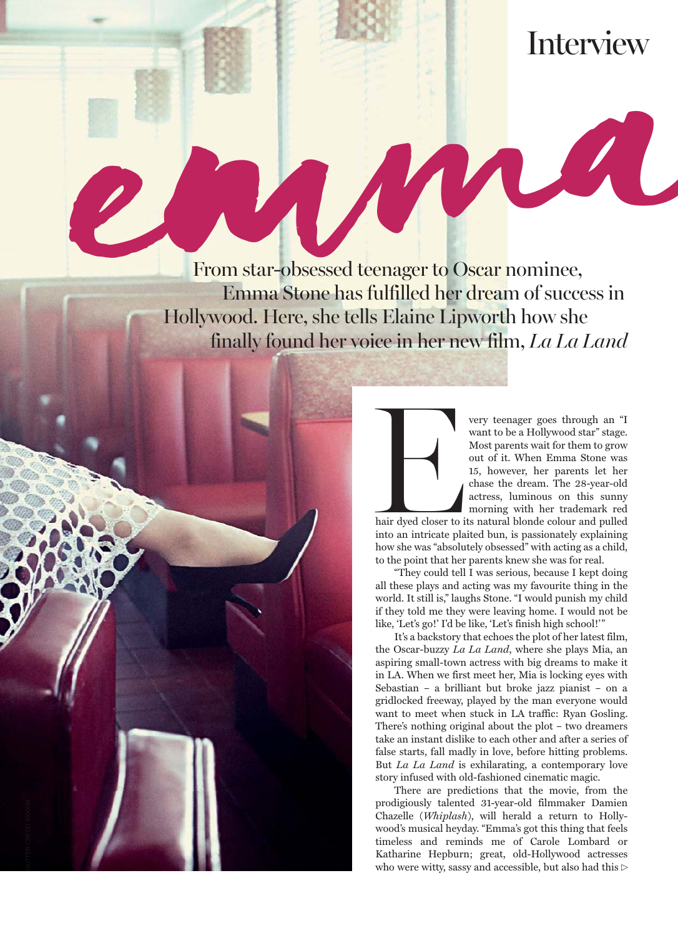## Interview

A

e-March Charles Contract de Oscar nomines From star-obsessed teenager to Oscar nominee, Emma Stone has fulfilled her dream of success in Hollywood. Here, she tells Elaine Lipworth how she finally found her voice in her new film, *La La Land*



Very teenager goes through an "I<br>want to be a Hollywood star" stage.<br>Most parents wait for them to grow<br>out of it. When Emma Stone was<br>15, however, her parents let her<br>chase the dream. The 28-year-old<br>actress, luminous on want to be a Hollywood star" stage. Most parents wait for them to grow out of it. When Emma Stone was 15, however, her parents let her chase the dream. The 28-year-old actress, luminous on this sunny morning with her trademark red

hair dyed closer to its natural blonde colour and pulled into an intricate plaited bun, is passionately explaining how she was "absolutely obsessed" with acting as a child, to the point that her parents knew she was for real.

"They could tell I was serious, because I kept doing all these plays and acting was my favourite thing in the world. It still is," laughs Stone. "I would punish my child if they told me they were leaving home. I would not be like, 'Let's go!' I'd be like, 'Let's finish high school!'"

It's a backstory that echoes the plot of her latest film, the Oscar-buzzy *La La Land*, where she plays Mia, an aspiring small-town actress with big dreams to make it in LA. When we first meet her, Mia is locking eyes with Sebastian – a brilliant but broke jazz pianist – on a gridlocked freeway, played by the man everyone would want to meet when stuck in LA traffic: Ryan Gosling. There's nothing original about the plot – two dreamers take an instant dislike to each other and after a series of false starts, fall madly in love, before hitting problems. But *La La Land* is exhilarating, a contemporary love story infused with old-fashioned cinematic magic.

There are predictions that the movie, from the prodigiously talented 31-year-old filmmaker Damien Chazelle (*Whiplash*), will herald a return to Hollywood's musical heyday. "Emma's got this thing that feels timeless and reminds me of Carole Lombard or Katharine Hepburn; great, old-Hollywood actresses who were witty, sassy and accessible, but also had this  $\mathbin{\vartriangleright}$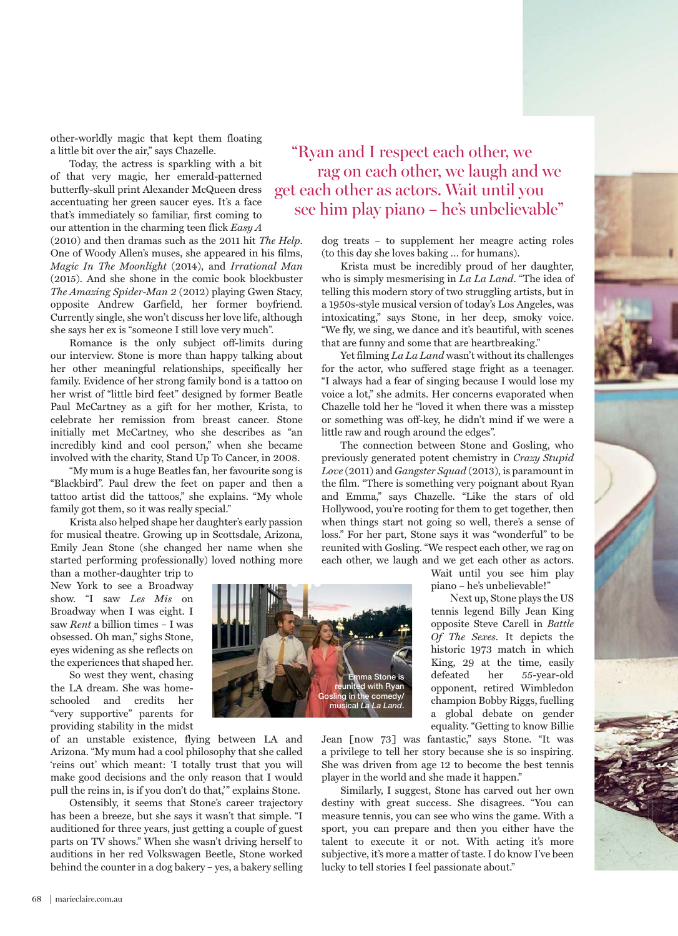other-worldly magic that kept them floating a little bit over the air," says Chazelle.

Today, the actress is sparkling with a bit of that very magic, her emerald-patterned butterfly-skull print Alexander McQueen dress accentuating her green saucer eyes. It's a face that's immediately so familiar, first coming to our attention in the charming teen flick *Easy A*  (2010) and then dramas such as the 2011 hit *The Help*. One of Woody Allen's muses, she appeared in his films, *Magic In The Moonlight* (2014), and *Irrational Man* (2015). And she shone in the comic book blockbuster *The Amazing Spider-Man 2* (2012) playing Gwen Stacy, opposite Andrew Garfield, her former boyfriend. Currently single, she won't discuss her love life, although she says her ex is "someone I still love very much".

Romance is the only subject off-limits during our interview. Stone is more than happy talking about her other meaningful relationships, specifically her family. Evidence of her strong family bond is a tattoo on her wrist of "little bird feet" designed by former Beatle Paul McCartney as a gift for her mother, Krista, to celebrate her remission from breast cancer. Stone initially met McCartney, who she describes as "an incredibly kind and cool person," when she became involved with the charity, Stand Up To Cancer, in 2008.

"My mum is a huge Beatles fan, her favourite song is "Blackbird". Paul drew the feet on paper and then a tattoo artist did the tattoos," she explains. "My whole family got them, so it was really special."

Krista also helped shape her daughter's early passion for musical theatre. Growing up in Scottsdale, Arizona, Emily Jean Stone (she changed her name when she started performing professionally) loved nothing more

than a mother-daughter trip to New York to see a Broadway show. "I saw *Les Mis* on Broadway when I was eight. I saw *Rent* a billion times – I was obsessed. Oh man," sighs Stone, eyes widening as she reflects on the experiences that shaped her.

So west they went, chasing the LA dream. She was homeschooled and credits her "very supportive" parents for providing stability in the midst

of an unstable existence, flying between LA and Arizona. "My mum had a cool philosophy that she called 'reins out' which meant: 'I totally trust that you will make good decisions and the only reason that I would pull the reins in, is if you don't do that,'" explains Stone.

Ostensibly, it seems that Stone's career trajectory has been a breeze, but she says it wasn't that simple. "I auditioned for three years, just getting a couple of guest parts on TV shows." When she wasn't driving herself to auditions in her red Volkswagen Beetle, Stone worked behind the counter in a dog bakery – yes, a bakery selling



dog treats – to supplement her meagre acting roles (to this day she loves baking … for humans).

Krista must be incredibly proud of her daughter, who is simply mesmerising in *La La Land*. "The idea of telling this modern story of two struggling artists, but in a 1950s-style musical version of today's Los Angeles, was intoxicating," says Stone, in her deep, smoky voice. "We fly, we sing, we dance and it's beautiful, with scenes that are funny and some that are heartbreaking."

Yet filming *La La Land* wasn't without its challenges for the actor, who suffered stage fright as a teenager. "I always had a fear of singing because I would lose my voice a lot," she admits. Her concerns evaporated when Chazelle told her he "loved it when there was a misstep or something was off-key, he didn't mind if we were a little raw and rough around the edges".

The connection between Stone and Gosling, who previously generated potent chemistry in *Crazy Stupid Love* (2011) and *Gangster Squad* (2013), is paramount in the film. "There is something very poignant about Ryan and Emma," says Chazelle. "Like the stars of old Hollywood, you're rooting for them to get together, then when things start not going so well, there's a sense of loss." For her part, Stone says it was "wonderful" to be reunited with Gosling. "We respect each other, we rag on each other, we laugh and we get each other as actors.

> Wait until you see him play piano – he's unbelievable!"

Next up, Stone plays the US tennis legend Billy Jean King opposite Steve Carell in *Battle Of The Sexes*. It depicts the historic 1973 match in which King, 29 at the time, easily defeated her 55-year-old opponent, retired Wimbledon champion Bobby Riggs, fuelling a global debate on gender equality. "Getting to know Billie

Jean [now 73] was fantastic," says Stone. "It was a privilege to tell her story because she is so inspiring. She was driven from age 12 to become the best tennis player in the world and she made it happen."

**Emma Stone is reunited with Ryan Gosling in the comedy/ musical** *La La Land***.**

Similarly, I suggest, Stone has carved out her own destiny with great success. She disagrees. "You can measure tennis, you can see who wins the game. With a sport, you can prepare and then you either have the talent to execute it or not. With acting it's more subjective, it's more a matter of taste. I do know I've been lucky to tell stories I feel passionate about."

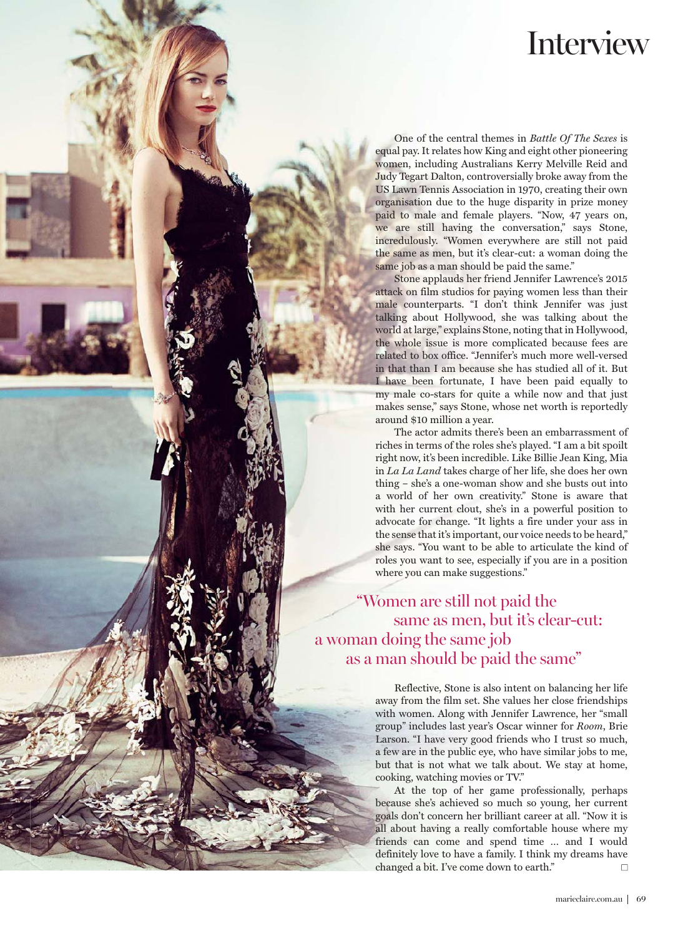## Interview

equal pay. It relates how King and eight other pioneering women, including Australians Kerry Melville Reid and Judy Tegart Dalton, controversially broke away from the US Lawn Tennis Association in 1970, creating their own organisation due to the huge disparity in prize money paid to male and female players. "Now, 47 years on, we are still having the conversation," says Stone, incredulously. "Women everywhere are still not paid the same as men, but it's clear-cut: a woman doing the same job as a man should be paid the same."

One of the central themes in *Battle Of The Sexes* is<br>pape, it relates how King and dight other pioncering<br>pape, it relates how King and eight other pioncering<br>Themes in indicality a Australian Serey MeVille Reid and<br>Theme Stone applauds her friend Jennifer Lawrence's 2015 attack on film studios for paying women less than their male counterparts. "I don't think Jennifer was just talking about Hollywood, she was talking about the world at large," explains Stone, noting that in Hollywood, the whole issue is more complicated because fees are related to box office. "Jennifer's much more well-versed in that than I am because she has studied all of it. But I have been fortunate, I have been paid equally to my male co-stars for quite a while now and that just makes sense," says Stone, whose net worth is reportedly around \$10 million a year.

The actor admits there's been an embarrassment of riches in terms of the roles she's played. "I am a bit spoilt right now, it's been incredible. Like Billie Jean King, Mia in *La La Land* takes charge of her life, she does her own thing – she's a one-woman show and she busts out into a world of her own creativity." Stone is aware that with her current clout, she's in a powerful position to advocate for change. "It lights a fire under your ass in the sense that it's important, our voice needs to be heard," she says. "You want to be able to articulate the kind of roles you want to see, especially if you are in a position where you can make suggestions."

"Women are still not paid the same as men, but it's clear-cut: a woman doing the same job as a man should be paid the same"

GUTTER CREDIT XXXXXX C ERDI E RT XXT XXXX

Reflective, Stone is also intent on balancing her life away from the film set. She values her close friendships with women. Along with Jennifer Lawrence, her "small group" includes last year's Oscar winner for *Room*, Brie Larson. "I have very good friends who I trust so much, a few are in the public eye, who have similar jobs to me, but that is not what we talk about. We stay at home, cooking, watching movies or TV."

At the top of her game professionally, perhaps because she's achieved so much so young, her current goals don't concern her brilliant career at all. "Now it is all about having a really comfortable house where my friends can come and spend time … and I would definitely love to have a family. I think my dreams have changed a bit. I've come down to earth."